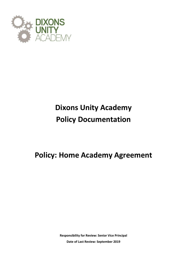

# **Dixons Unity Academy Policy Documentation**

**Policy: Home Academy Agreement**

**Responsibility for Review: Senior Vice Principal Date of Last Review: September 2019**